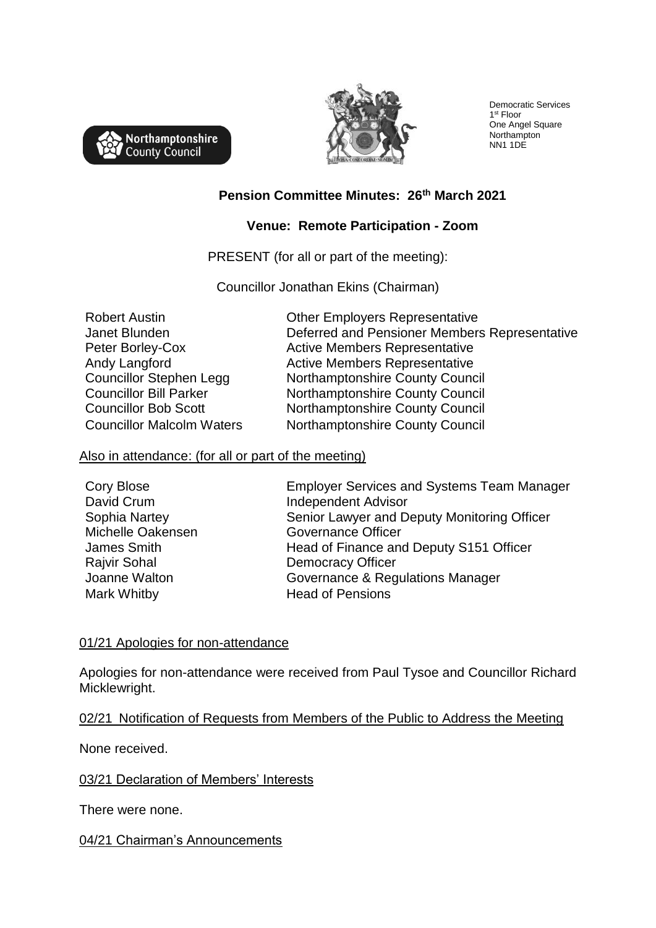



Democratic Services 1 st Floor One Angel Square Northampton NN1 1DE

## **Pension Committee Minutes: 26th March 2021**

## **Venue: Remote Participation - Zoom**

PRESENT (for all or part of the meeting):

Councillor Jonathan Ekins (Chairman)

Robert Austin Janet Blunden Peter Borley-Cox Andy Langford Councillor Stephen Legg Councillor Bill Parker

Other Employers Representative Deferred and Pensioner Members Representative Active Members Representative Active Members Representative Northamptonshire County Council Northamptonshire County Council Councillor Bob Scott Northamptonshire County Council Councillor Malcolm Waters Northamptonshire County Council

#### Also in attendance: (for all or part of the meeting)

Cory Blose David Crum Sophia Nartey Michelle Oakensen James Smith Rajvir Sohal Mark Whitby **Head of Pensions** 

Employer Services and Systems Team Manager Independent Advisor Senior Lawyer and Deputy Monitoring Officer Governance Officer Head of Finance and Deputy S151 Officer Democracy Officer Joanne Walton Governance & Regulations Manager

### 01/21 Apologies for non-attendance

Apologies for non-attendance were received from Paul Tysoe and Councillor Richard Micklewright.

02/21 Notification of Requests from Members of the Public to Address the Meeting

None received.

### 03/21 Declaration of Members' Interests

There were none.

### 04/21 Chairman's Announcements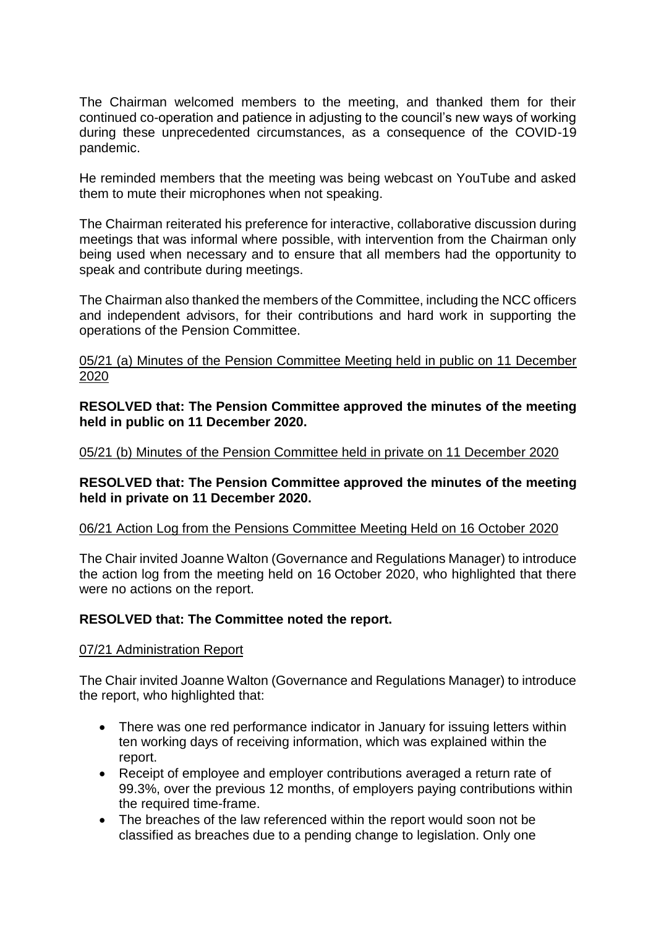The Chairman welcomed members to the meeting, and thanked them for their continued co-operation and patience in adjusting to the council's new ways of working during these unprecedented circumstances, as a consequence of the COVID-19 pandemic.

He reminded members that the meeting was being webcast on YouTube and asked them to mute their microphones when not speaking.

The Chairman reiterated his preference for interactive, collaborative discussion during meetings that was informal where possible, with intervention from the Chairman only being used when necessary and to ensure that all members had the opportunity to speak and contribute during meetings.

The Chairman also thanked the members of the Committee, including the NCC officers and independent advisors, for their contributions and hard work in supporting the operations of the Pension Committee.

05/21 (a) Minutes of the Pension Committee Meeting held in public on 11 December 2020

**RESOLVED that: The Pension Committee approved the minutes of the meeting held in public on 11 December 2020.**

05/21 (b) Minutes of the Pension Committee held in private on 11 December 2020

### **RESOLVED that: The Pension Committee approved the minutes of the meeting held in private on 11 December 2020.**

### 06/21 Action Log from the Pensions Committee Meeting Held on 16 October 2020

The Chair invited Joanne Walton (Governance and Regulations Manager) to introduce the action log from the meeting held on 16 October 2020, who highlighted that there were no actions on the report.

### **RESOLVED that: The Committee noted the report.**

#### 07/21 Administration Report

The Chair invited Joanne Walton (Governance and Regulations Manager) to introduce the report, who highlighted that:

- There was one red performance indicator in January for issuing letters within ten working days of receiving information, which was explained within the report.
- Receipt of employee and employer contributions averaged a return rate of 99.3%, over the previous 12 months, of employers paying contributions within the required time-frame.
- The breaches of the law referenced within the report would soon not be classified as breaches due to a pending change to legislation. Only one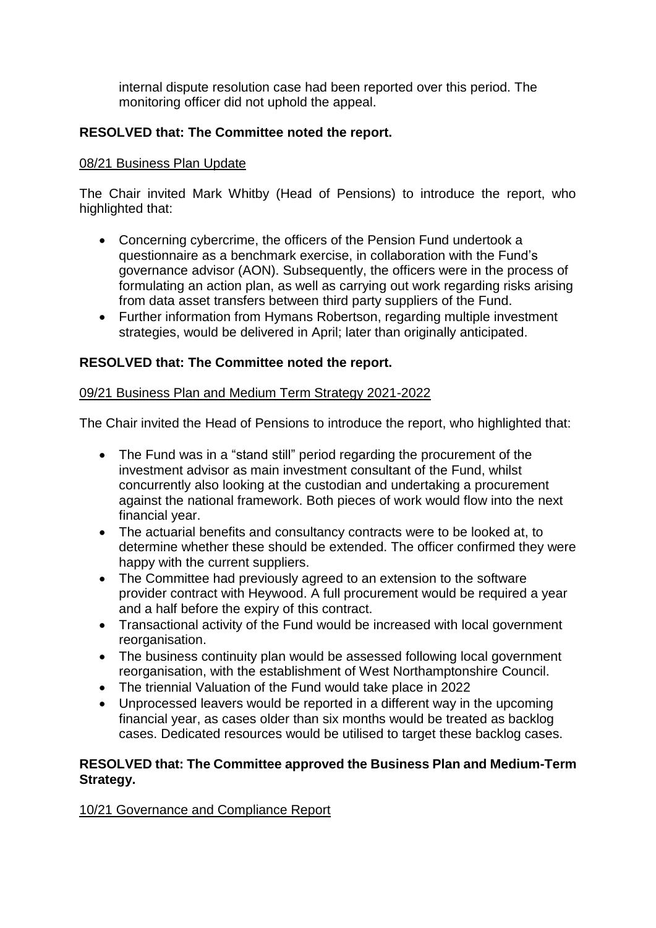internal dispute resolution case had been reported over this period. The monitoring officer did not uphold the appeal.

# **RESOLVED that: The Committee noted the report.**

## 08/21 Business Plan Update

The Chair invited Mark Whitby (Head of Pensions) to introduce the report, who highlighted that:

- Concerning cybercrime, the officers of the Pension Fund undertook a questionnaire as a benchmark exercise, in collaboration with the Fund's governance advisor (AON). Subsequently, the officers were in the process of formulating an action plan, as well as carrying out work regarding risks arising from data asset transfers between third party suppliers of the Fund.
- Further information from Hymans Robertson, regarding multiple investment strategies, would be delivered in April; later than originally anticipated.

# **RESOLVED that: The Committee noted the report.**

## 09/21 Business Plan and Medium Term Strategy 2021-2022

The Chair invited the Head of Pensions to introduce the report, who highlighted that:

- The Fund was in a "stand still" period regarding the procurement of the investment advisor as main investment consultant of the Fund, whilst concurrently also looking at the custodian and undertaking a procurement against the national framework. Both pieces of work would flow into the next financial year.
- The actuarial benefits and consultancy contracts were to be looked at, to determine whether these should be extended. The officer confirmed they were happy with the current suppliers.
- The Committee had previously agreed to an extension to the software provider contract with Heywood. A full procurement would be required a year and a half before the expiry of this contract.
- Transactional activity of the Fund would be increased with local government reorganisation.
- The business continuity plan would be assessed following local government reorganisation, with the establishment of West Northamptonshire Council.
- The triennial Valuation of the Fund would take place in 2022
- Unprocessed leavers would be reported in a different way in the upcoming financial year, as cases older than six months would be treated as backlog cases. Dedicated resources would be utilised to target these backlog cases.

### **RESOLVED that: The Committee approved the Business Plan and Medium-Term Strategy.**

10/21 Governance and Compliance Report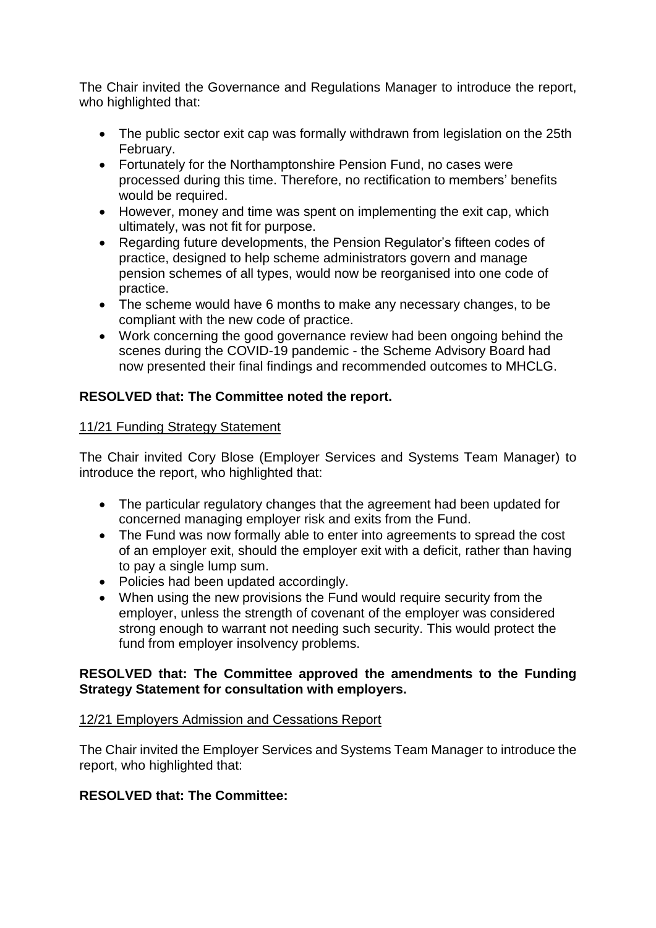The Chair invited the Governance and Regulations Manager to introduce the report, who highlighted that:

- The public sector exit cap was formally withdrawn from legislation on the 25th February.
- Fortunately for the Northamptonshire Pension Fund, no cases were processed during this time. Therefore, no rectification to members' benefits would be required.
- However, money and time was spent on implementing the exit cap, which ultimately, was not fit for purpose.
- Regarding future developments, the Pension Regulator's fifteen codes of practice, designed to help scheme administrators govern and manage pension schemes of all types, would now be reorganised into one code of practice.
- The scheme would have 6 months to make any necessary changes, to be compliant with the new code of practice.
- Work concerning the good governance review had been ongoing behind the scenes during the COVID-19 pandemic - the Scheme Advisory Board had now presented their final findings and recommended outcomes to MHCLG.

# **RESOLVED that: The Committee noted the report.**

## 11/21 Funding Strategy Statement

The Chair invited Cory Blose (Employer Services and Systems Team Manager) to introduce the report, who highlighted that:

- The particular regulatory changes that the agreement had been updated for concerned managing employer risk and exits from the Fund.
- The Fund was now formally able to enter into agreements to spread the cost of an employer exit, should the employer exit with a deficit, rather than having to pay a single lump sum.
- Policies had been updated accordingly.
- When using the new provisions the Fund would require security from the employer, unless the strength of covenant of the employer was considered strong enough to warrant not needing such security. This would protect the fund from employer insolvency problems.

## **RESOLVED that: The Committee approved the amendments to the Funding Strategy Statement for consultation with employers.**

# 12/21 Employers Admission and Cessations Report

The Chair invited the Employer Services and Systems Team Manager to introduce the report, who highlighted that:

# **RESOLVED that: The Committee:**